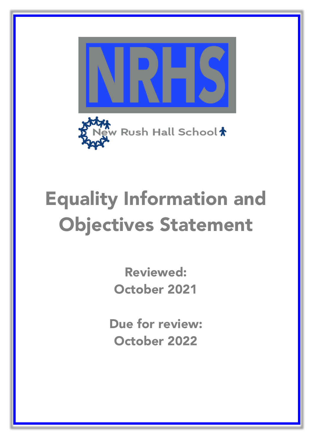



# Equality Information and Objectives Statement

Reviewed: October 2021

Due for review: October 2022